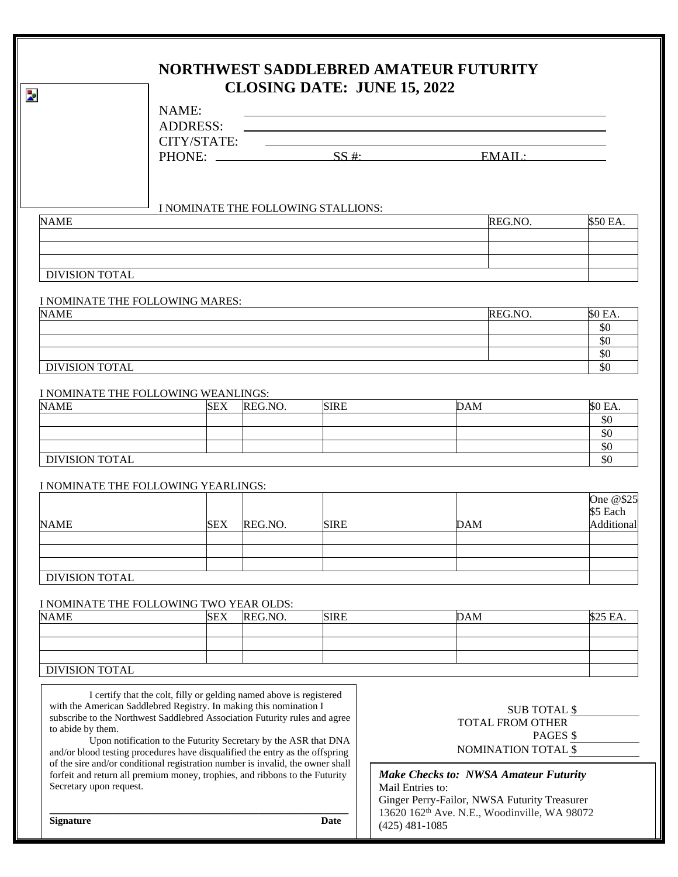|                                                                                                 |                                                                                                                                                                |            |                                     |             | NORTHWEST SADDLEBRED AMATEUR FUTURITY<br><b>CLOSING DATE: JUNE 15, 2022</b>  |                                              |            |  |
|-------------------------------------------------------------------------------------------------|----------------------------------------------------------------------------------------------------------------------------------------------------------------|------------|-------------------------------------|-------------|------------------------------------------------------------------------------|----------------------------------------------|------------|--|
|                                                                                                 | NAME:                                                                                                                                                          |            |                                     |             |                                                                              |                                              |            |  |
|                                                                                                 | <b>ADDRESS:</b>                                                                                                                                                |            |                                     |             |                                                                              |                                              |            |  |
|                                                                                                 | CITY/STATE:                                                                                                                                                    |            |                                     |             |                                                                              |                                              |            |  |
|                                                                                                 |                                                                                                                                                                | PHONE:     |                                     |             | SS #:                                                                        |                                              | EMAIL:     |  |
| <b>NAME</b>                                                                                     |                                                                                                                                                                |            | I NOMINATE THE FOLLOWING STALLIONS: |             |                                                                              | REG.NO.                                      | \$50 EA.   |  |
|                                                                                                 |                                                                                                                                                                |            |                                     |             |                                                                              |                                              |            |  |
|                                                                                                 |                                                                                                                                                                |            |                                     |             |                                                                              |                                              |            |  |
| <b>DIVISION TOTAL</b>                                                                           |                                                                                                                                                                |            |                                     |             |                                                                              |                                              |            |  |
|                                                                                                 |                                                                                                                                                                |            |                                     |             |                                                                              |                                              |            |  |
| I NOMINATE THE FOLLOWING MARES:<br><b>NAME</b>                                                  |                                                                                                                                                                |            |                                     |             |                                                                              | REG.NO.                                      | \$0 EA.    |  |
|                                                                                                 |                                                                                                                                                                |            |                                     |             |                                                                              |                                              | \$0        |  |
|                                                                                                 |                                                                                                                                                                |            |                                     |             |                                                                              |                                              | \$0        |  |
| <b>DIVISION TOTAL</b>                                                                           |                                                                                                                                                                |            |                                     |             |                                                                              |                                              | \$0<br>\$0 |  |
|                                                                                                 |                                                                                                                                                                |            |                                     |             |                                                                              |                                              |            |  |
| I NOMINATE THE FOLLOWING WEANLINGS:                                                             |                                                                                                                                                                |            |                                     |             |                                                                              |                                              |            |  |
| <b>NAME</b>                                                                                     |                                                                                                                                                                | SEX        | REG.NO.                             | <b>SIRE</b> |                                                                              | <b>DAM</b>                                   | \$0 EA.    |  |
|                                                                                                 |                                                                                                                                                                |            |                                     |             |                                                                              |                                              | \$0<br>\$0 |  |
|                                                                                                 |                                                                                                                                                                |            |                                     |             |                                                                              |                                              | \$0        |  |
| <b>DIVISION TOTAL</b>                                                                           |                                                                                                                                                                |            |                                     |             |                                                                              |                                              | \$0        |  |
|                                                                                                 |                                                                                                                                                                |            |                                     |             |                                                                              |                                              |            |  |
| I NOMINATE THE FOLLOWING YEARLINGS:                                                             |                                                                                                                                                                |            |                                     |             |                                                                              |                                              | One @\$25  |  |
|                                                                                                 |                                                                                                                                                                |            |                                     |             |                                                                              |                                              | \$5 Each   |  |
| <b>NAME</b>                                                                                     |                                                                                                                                                                | SEX        | REG.NO.                             | <b>SIRE</b> |                                                                              | <b>DAM</b>                                   | Additional |  |
|                                                                                                 |                                                                                                                                                                |            |                                     |             |                                                                              |                                              |            |  |
|                                                                                                 |                                                                                                                                                                |            |                                     |             |                                                                              |                                              |            |  |
| <b>DIVISION TOTAL</b>                                                                           |                                                                                                                                                                |            |                                     |             |                                                                              |                                              |            |  |
|                                                                                                 |                                                                                                                                                                |            |                                     |             |                                                                              |                                              |            |  |
| I NOMINATE THE FOLLOWING TWO YEAR OLDS:<br><b>NAME</b>                                          |                                                                                                                                                                | <b>SEX</b> | REG.NO.                             | <b>SIRE</b> |                                                                              | <b>DAM</b>                                   | \$25 EA.   |  |
|                                                                                                 |                                                                                                                                                                |            |                                     |             |                                                                              |                                              |            |  |
|                                                                                                 |                                                                                                                                                                |            |                                     |             |                                                                              |                                              |            |  |
|                                                                                                 |                                                                                                                                                                |            |                                     |             |                                                                              |                                              |            |  |
| <b>DIVISION TOTAL</b>                                                                           |                                                                                                                                                                |            |                                     |             |                                                                              |                                              |            |  |
|                                                                                                 | I certify that the colt, filly or gelding named above is registered                                                                                            |            |                                     |             |                                                                              |                                              |            |  |
|                                                                                                 | with the American Saddlebred Registry. In making this nomination I                                                                                             |            |                                     |             |                                                                              | <b>SUB TOTAL \$</b>                          |            |  |
| subscribe to the Northwest Saddlebred Association Futurity rules and agree<br>to abide by them. |                                                                                                                                                                |            |                                     |             | TOTAL FROM OTHER                                                             |                                              |            |  |
| Upon notification to the Futurity Secretary by the ASR that DNA                                 |                                                                                                                                                                |            |                                     |             |                                                                              | PAGES \$                                     |            |  |
|                                                                                                 | and/or blood testing procedures have disqualified the entry as the offspring<br>of the sire and/or conditional registration number is invalid, the owner shall |            |                                     |             |                                                                              | NOMINATION TOTAL \$                          |            |  |
| Secretary upon request.                                                                         | forfeit and return all premium money, trophies, and ribbons to the Futurity                                                                                    |            |                                     |             | Mail Entries to:                                                             | <b>Make Checks to: NWSA Amateur Futurity</b> |            |  |
|                                                                                                 |                                                                                                                                                                |            |                                     |             |                                                                              | Ginger Perry-Failor, NWSA Futurity Treasurer |            |  |
| <b>Signature</b><br>Date                                                                        |                                                                                                                                                                |            |                                     |             | 13620 162 <sup>th</sup> Ave. N.E., Woodinville, WA 98072<br>$(425)$ 481-1085 |                                              |            |  |
|                                                                                                 |                                                                                                                                                                |            |                                     |             |                                                                              |                                              |            |  |